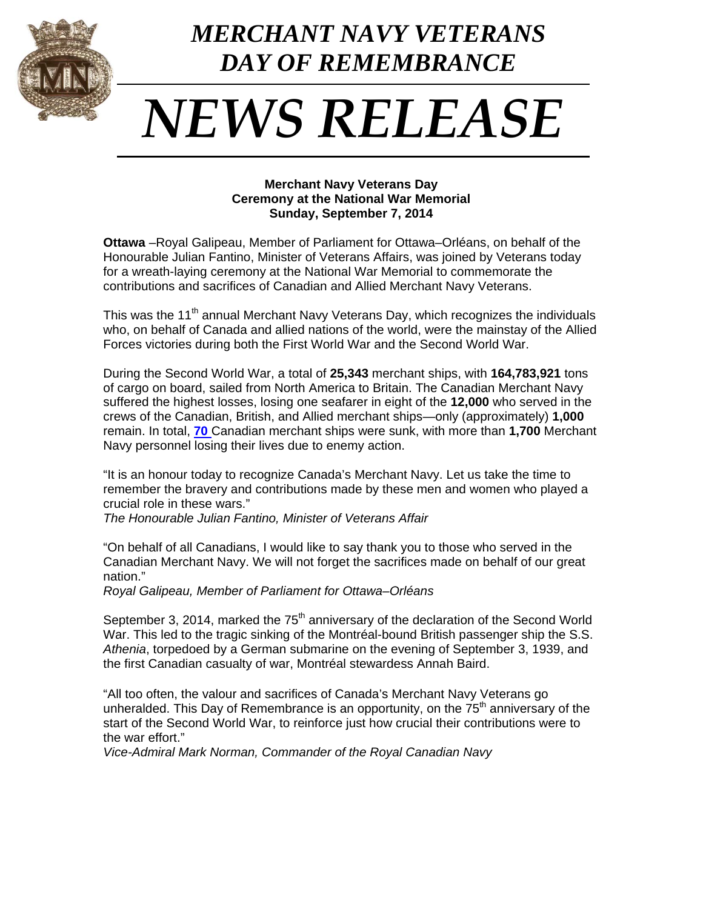

## 1 *DAY OF REMEMBRANCE MERCHANT NAVY VETERANS*

## *NEWS RELEASE*

## **Merchant Navy Veterans Day Ceremony at the National War Memorial Sunday, September 7, 2014**

**Ottawa** –Royal Galipeau, Member of Parliament for Ottawa–Orléans, on behalf of the Honourable Julian Fantino, Minister of Veterans Affairs, was joined by Veterans today for a wreath-laying ceremony at the National War Memorial to commemorate the contributions and sacrifices of Canadian and Allied Merchant Navy Veterans.

This was the 11<sup>th</sup> annual Merchant Navy Veterans Day, which recognizes the individuals who, on behalf of Canada and allied nations of the world, were the mainstay of the Allied Forces victories during both the First World War and the Second World War.

During the Second World War, a total of **25,343** merchant ships, with **164,783,921** tons of cargo on board, sailed from North America to Britain. The Canadian Merchant Navy suffered the highest losses, losing one seafarer in eight of the **12,000** who served in the crews of the Canadian, British, and Allied merchant ships—only (approximately) **1,000** remain. In total, **[70](http://www.naval-museum.mb.ca/merch/mership.htm)** Canadian merchant ships were sunk, with more than **1,700** Merchant Navy personnel losing their lives due to enemy action.

"It is an honour today to recognize Canada's Merchant Navy. Let us take the time to remember the bravery and contributions made by these men and women who played a crucial role in these wars."

*The Honourable Julian Fantino, Minister of Veterans Affair*

"On behalf of all Canadians, I would like to say thank you to those who served in the Canadian Merchant Navy. We will not forget the sacrifices made on behalf of our great nation."

*Royal Galipeau, Member of Parliament for Ottawa–Orléans*

September 3, 2014, marked the  $75<sup>th</sup>$  anniversary of the declaration of the Second World War. This led to the tragic sinking of the Montréal-bound British passenger ship the S.S. *Athenia*, torpedoed by a German submarine on the evening of September 3, 1939, and the first Canadian casualty of war, Montréal stewardess Annah Baird.

"All too often, the valour and sacrifices of Canada's Merchant Navy Veterans go unheralded. This Day of Remembrance is an opportunity, on the  $75<sup>th</sup>$  anniversary of the start of the Second World War, to reinforce just how crucial their contributions were to the war effort."

*Vice-Admiral Mark Norman, Commander of the Royal Canadian Navy*